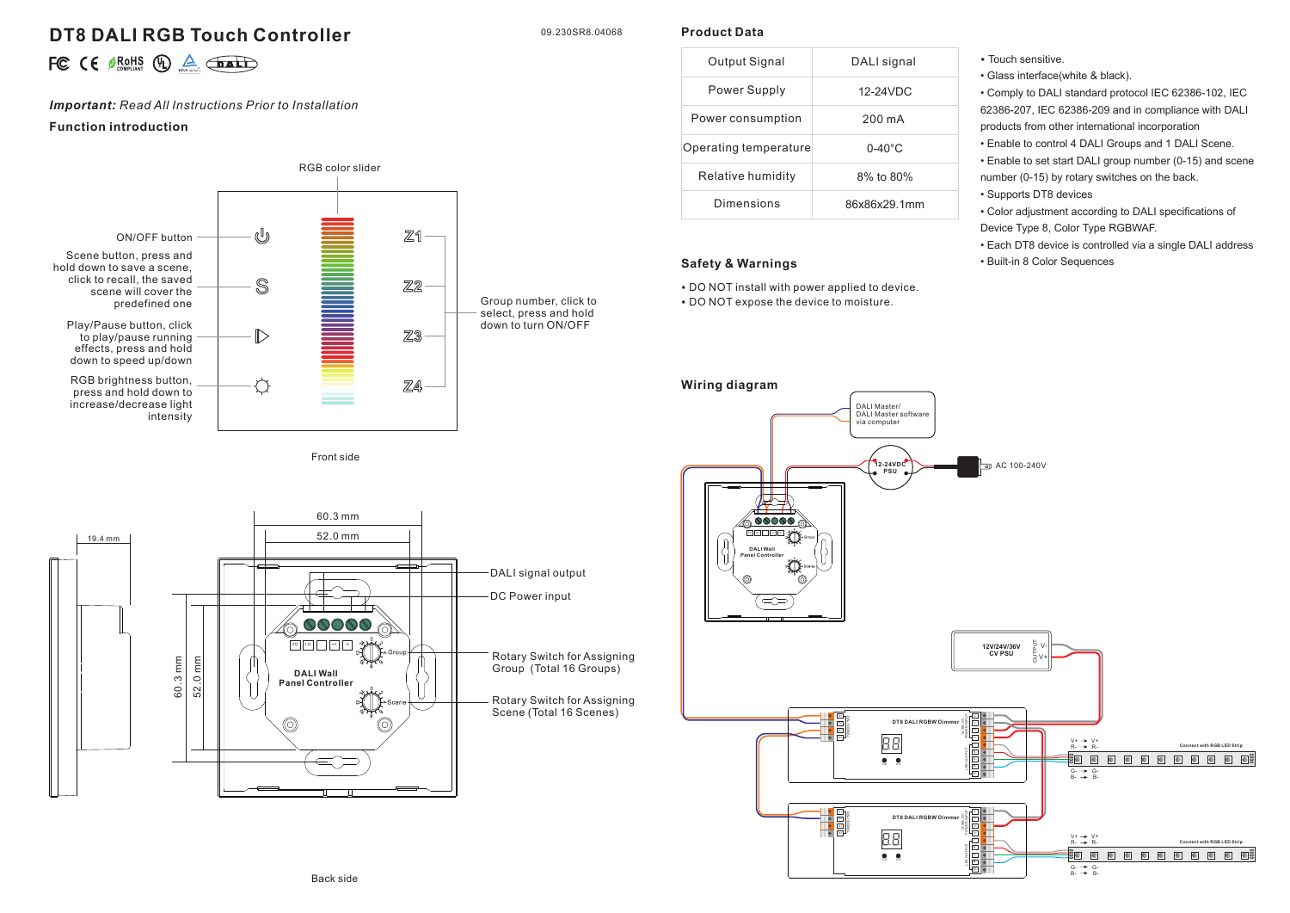# **DT8 DALI RGB Touch Controller**

09.230SR8.04068

**Product Data**

|  |  |  |  | FC $\epsilon \in \mathcal{L}$ is $\mathbb{Q}$ $\mathbb{A}$ $\mathbb{F}$ |
|--|--|--|--|-------------------------------------------------------------------------|
|--|--|--|--|-------------------------------------------------------------------------|

# *Important: Read All Instructions Prior to Installation*

# **Function introduction**





| Output Signal         | DALI signal      |
|-----------------------|------------------|
| Power Supply          | 12-24VDC         |
| Power consumption     | 200 mA           |
| Operating temperature | $0-40^{\circ}$ C |
| Relative humidity     | 8% to 80%        |
| Dimensions            | 86x86x29 1mm     |

# **Safety & Warnings**

• DO NOT install with power applied to device. • DO NOT expose the device to moisture.

#### • Touch sensitive.

• Glass interface(white & black).

• Comply to DALI standard protocol IEC 62386-102, IEC 62386-207, IEC 62386-209 and in compliance with DALI products from other international incorporation

• Enable to control 4 DALI Groups and 1 DALI Scene.

• Enable to set start DALI group number (0-15) and scene number (0-15) by rotary switches on the back.

- Supports DT8 devices
- Color adjustment according to DALI specifications of Device Type 8, Color Type RGBWAF.
- Each DT8 device is controlled via a single DALI address • Built-in 8 Color Sequences